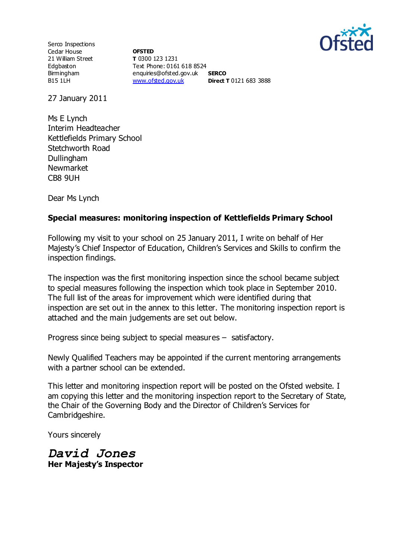

Serco Inspections Cedar House 21 William Street Edgbaston Birmingham B15 1LH

**OFSTED T** 0300 123 1231 Text Phone: 0161 618 8524 enquiries@ofsted.gov.uk **SERCO** [www.ofsted.gov.uk](http://www.ofsted.gov.uk/) **Direct T** 0121 683 3888

27 January 2011

Ms E Lynch Interim Headteacher Kettlefields Primary School Stetchworth Road Dullingham Newmarket CB8 9UH

Dear Ms Lynch

## **Special measures: monitoring inspection of Kettlefields Primary School**

Following my visit to your school on 25 January 2011, I write on behalf of Her Majesty's Chief Inspector of Education, Children's Services and Skills to confirm the inspection findings.

The inspection was the first monitoring inspection since the school became subject to special measures following the inspection which took place in September 2010. The full list of the areas for improvement which were identified during that inspection are set out in the annex to this letter. The monitoring inspection report is attached and the main judgements are set out below.

Progress since being subject to special measures – satisfactory.

Newly Qualified Teachers may be appointed if the current mentoring arrangements with a partner school can be extended.

This letter and monitoring inspection report will be posted on the Ofsted website. I am copying this letter and the monitoring inspection report to the Secretary of State, the Chair of the Governing Body and the Director of Children's Services for Cambridgeshire.

Yours sincerely

*David Jones* **Her Majesty's Inspector**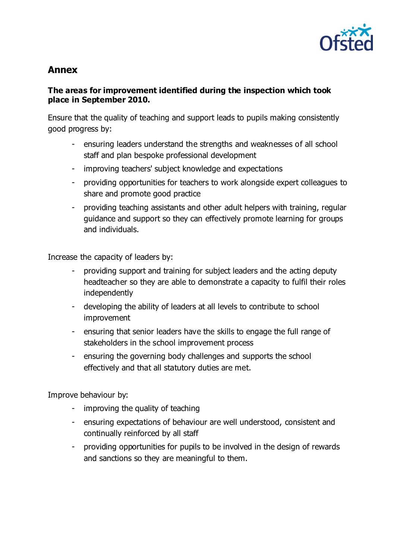

# **Annex**

## **The areas for improvement identified during the inspection which took place in September 2010.**

Ensure that the quality of teaching and support leads to pupils making consistently good progress by:

- ensuring leaders understand the strengths and weaknesses of all school staff and plan bespoke professional development
- improving teachers' subject knowledge and expectations
- providing opportunities for teachers to work alongside expert colleagues to share and promote good practice
- providing teaching assistants and other adult helpers with training, regular guidance and support so they can effectively promote learning for groups and individuals.

Increase the capacity of leaders by:

- providing support and training for subject leaders and the acting deputy headteacher so they are able to demonstrate a capacity to fulfil their roles independently
- developing the ability of leaders at all levels to contribute to school improvement
- ensuring that senior leaders have the skills to engage the full range of stakeholders in the school improvement process
- ensuring the governing body challenges and supports the school effectively and that all statutory duties are met.

Improve behaviour by:

- improving the quality of teaching
- ensuring expectations of behaviour are well understood, consistent and continually reinforced by all staff
- providing opportunities for pupils to be involved in the design of rewards and sanctions so they are meaningful to them.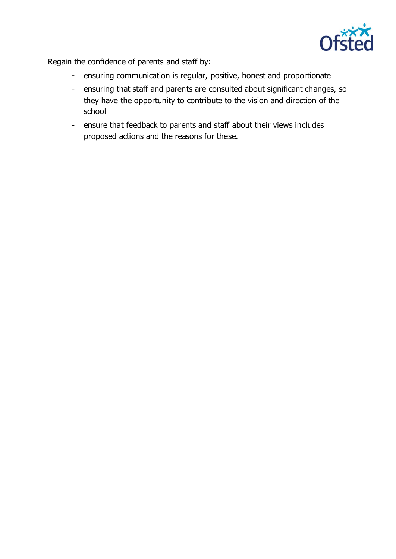

Regain the confidence of parents and staff by:

- ensuring communication is regular, positive, honest and proportionate
- ensuring that staff and parents are consulted about significant changes, so they have the opportunity to contribute to the vision and direction of the school
- ensure that feedback to parents and staff about their views includes proposed actions and the reasons for these.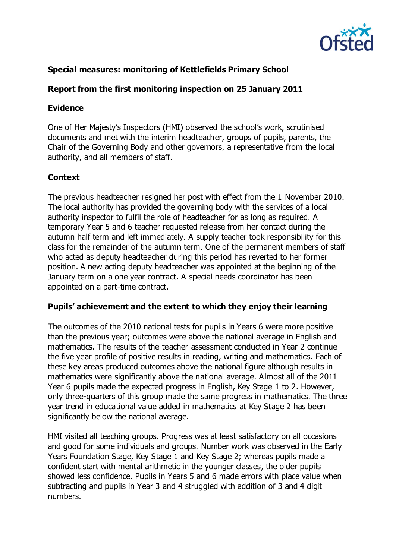

# **Special measures: monitoring of Kettlefields Primary School**

## **Report from the first monitoring inspection on 25 January 2011**

#### **Evidence**

One of Her Majesty's Inspectors (HMI) observed the school's work, scrutinised documents and met with the interim headteacher, groups of pupils, parents, the Chair of the Governing Body and other governors, a representative from the local authority, and all members of staff.

#### **Context**

The previous headteacher resigned her post with effect from the 1 November 2010. The local authority has provided the governing body with the services of a local authority inspector to fulfil the role of headteacher for as long as required. A temporary Year 5 and 6 teacher requested release from her contact during the autumn half term and left immediately. A supply teacher took responsibility for this class for the remainder of the autumn term. One of the permanent members of staff who acted as deputy headteacher during this period has reverted to her former position. A new acting deputy headteacher was appointed at the beginning of the January term on a one year contract. A special needs coordinator has been appointed on a part-time contract.

#### **Pupils' achievement and the extent to which they enjoy their learning**

The outcomes of the 2010 national tests for pupils in Years 6 were more positive than the previous year; outcomes were above the national average in English and mathematics. The results of the teacher assessment conducted in Year 2 continue the five year profile of positive results in reading, writing and mathematics. Each of these key areas produced outcomes above the national figure although results in mathematics were significantly above the national average. Almost all of the 2011 Year 6 pupils made the expected progress in English, Key Stage 1 to 2. However, only three-quarters of this group made the same progress in mathematics. The three year trend in educational value added in mathematics at Key Stage 2 has been significantly below the national average.

HMI visited all teaching groups. Progress was at least satisfactory on all occasions and good for some individuals and groups. Number work was observed in the Early Years Foundation Stage, Key Stage 1 and Key Stage 2; whereas pupils made a confident start with mental arithmetic in the younger classes, the older pupils showed less confidence. Pupils in Years 5 and 6 made errors with place value when subtracting and pupils in Year 3 and 4 struggled with addition of 3 and 4 digit numbers.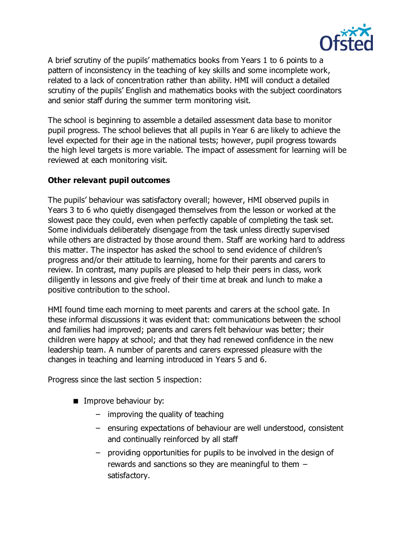

A brief scrutiny of the pupils' mathematics books from Years 1 to 6 points to a pattern of inconsistency in the teaching of key skills and some incomplete work, related to a lack of concentration rather than ability. HMI will conduct a detailed scrutiny of the pupils' English and mathematics books with the subject coordinators and senior staff during the summer term monitoring visit.

The school is beginning to assemble a detailed assessment data base to monitor pupil progress. The school believes that all pupils in Year 6 are likely to achieve the level expected for their age in the national tests; however, pupil progress towards the high level targets is more variable. The impact of assessment for learning will be reviewed at each monitoring visit.

## **Other relevant pupil outcomes**

The pupils' behaviour was satisfactory overall; however, HMI observed pupils in Years 3 to 6 who quietly disengaged themselves from the lesson or worked at the slowest pace they could, even when perfectly capable of completing the task set. Some individuals deliberately disengage from the task unless directly supervised while others are distracted by those around them. Staff are working hard to address this matter. The inspector has asked the school to send evidence of children's progress and/or their attitude to learning, home for their parents and carers to review. In contrast, many pupils are pleased to help their peers in class, work diligently in lessons and give freely of their time at break and lunch to make a positive contribution to the school.

HMI found time each morning to meet parents and carers at the school gate. In these informal discussions it was evident that: communications between the school and families had improved; parents and carers felt behaviour was better; their children were happy at school; and that they had renewed confidence in the new leadership team. A number of parents and carers expressed pleasure with the changes in teaching and learning introduced in Years 5 and 6.

Progress since the last section 5 inspection:

- **IMPROVE behaviour by:** 
	- improving the quality of teaching
	- ensuring expectations of behaviour are well understood, consistent and continually reinforced by all staff
	- providing opportunities for pupils to be involved in the design of rewards and sanctions so they are meaningful to them – satisfactory.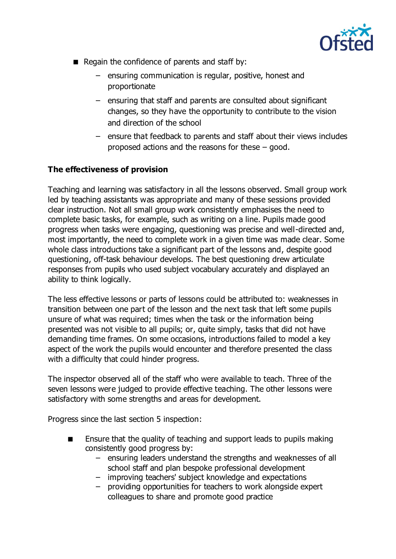

- Regain the confidence of parents and staff by:
	- ensuring communication is regular, positive, honest and proportionate
	- ensuring that staff and parents are consulted about significant changes, so they have the opportunity to contribute to the vision and direction of the school
	- ensure that feedback to parents and staff about their views includes proposed actions and the reasons for these – good.

# **The effectiveness of provision**

Teaching and learning was satisfactory in all the lessons observed. Small group work led by teaching assistants was appropriate and many of these sessions provided clear instruction. Not all small group work consistently emphasises the need to complete basic tasks, for example, such as writing on a line. Pupils made good progress when tasks were engaging, questioning was precise and well-directed and, most importantly, the need to complete work in a given time was made clear. Some whole class introductions take a significant part of the lessons and, despite good questioning, off-task behaviour develops. The best questioning drew articulate responses from pupils who used subject vocabulary accurately and displayed an ability to think logically.

The less effective lessons or parts of lessons could be attributed to: weaknesses in transition between one part of the lesson and the next task that left some pupils unsure of what was required; times when the task or the information being presented was not visible to all pupils; or, quite simply, tasks that did not have demanding time frames. On some occasions, introductions failed to model a key aspect of the work the pupils would encounter and therefore presented the class with a difficulty that could hinder progress.

The inspector observed all of the staff who were available to teach. Three of the seven lessons were judged to provide effective teaching. The other lessons were satisfactory with some strengths and areas for development.

Progress since the last section 5 inspection:

- **E** Ensure that the quality of teaching and support leads to pupils making consistently good progress by:
	- ensuring leaders understand the strengths and weaknesses of all school staff and plan bespoke professional development
	- improving teachers' subject knowledge and expectations
	- providing opportunities for teachers to work alongside expert colleagues to share and promote good practice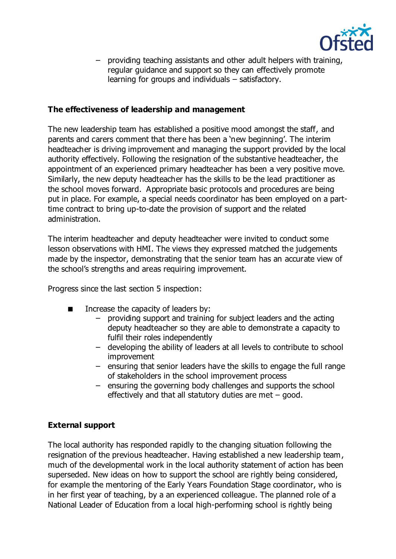

– providing teaching assistants and other adult helpers with training, regular guidance and support so they can effectively promote learning for groups and individuals – satisfactory.

### **The effectiveness of leadership and management**

The new leadership team has established a positive mood amongst the staff, and parents and carers comment that there has been a 'new beginning'. The interim headteacher is driving improvement and managing the support provided by the local authority effectively. Following the resignation of the substantive headteacher, the appointment of an experienced primary headteacher has been a very positive move. Similarly, the new deputy headteacher has the skills to be the lead practitioner as the school moves forward. Appropriate basic protocols and procedures are being put in place. For example, a special needs coordinator has been employed on a parttime contract to bring up-to-date the provision of support and the related administration.

The interim headteacher and deputy headteacher were invited to conduct some lesson observations with HMI. The views they expressed matched the judgements made by the inspector, demonstrating that the senior team has an accurate view of the school's strengths and areas requiring improvement.

Progress since the last section 5 inspection:

- Increase the capacity of leaders by:
	- providing support and training for subject leaders and the acting deputy headteacher so they are able to demonstrate a capacity to fulfil their roles independently
	- developing the ability of leaders at all levels to contribute to school improvement
	- ensuring that senior leaders have the skills to engage the full range of stakeholders in the school improvement process
	- ensuring the governing body challenges and supports the school effectively and that all statutory duties are met – good.

#### **External support**

The local authority has responded rapidly to the changing situation following the resignation of the previous headteacher. Having established a new leadership team, much of the developmental work in the local authority statement of action has been superseded. New ideas on how to support the school are rightly being considered, for example the mentoring of the Early Years Foundation Stage coordinator, who is in her first year of teaching, by a an experienced colleague. The planned role of a National Leader of Education from a local high-performing school is rightly being